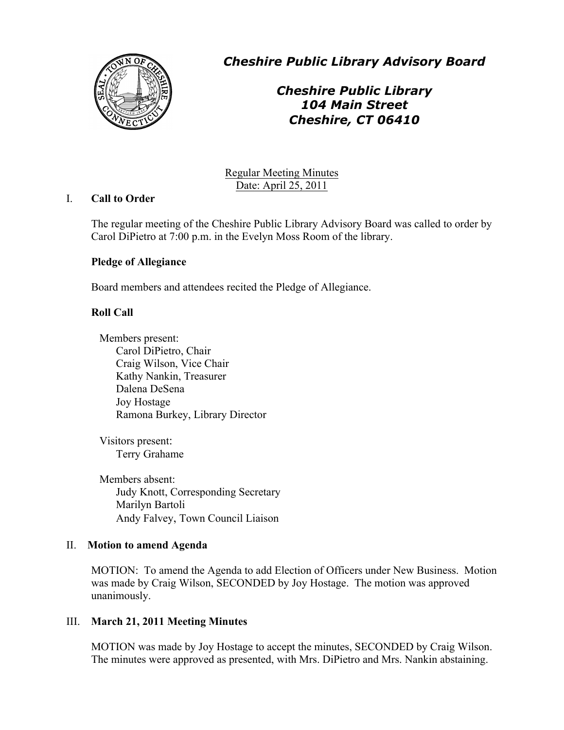

*Cheshire Public Library Advisory Board*

# *Cheshire Public Library 104 Main Street Cheshire, CT 06410*

Regular Meeting Minutes Date: April 25, 2011

## I. **Call to Order**

The regular meeting of the Cheshire Public Library Advisory Board was called to order by Carol DiPietro at 7:00 p.m. in the Evelyn Moss Room of the library.

## **Pledge of Allegiance**

Board members and attendees recited the Pledge of Allegiance.

## **Roll Call**

Members present: Carol DiPietro, Chair Craig Wilson, Vice Chair Kathy Nankin, Treasurer Dalena DeSena Joy Hostage Ramona Burkey, Library Director

Visitors present: Terry Grahame

Members absent: Judy Knott, Corresponding Secretary Marilyn Bartoli Andy Falvey, Town Council Liaison

## II. **Motion to amend Agenda**

MOTION: To amend the Agenda to add Election of Officers under New Business. Motion was made by Craig Wilson, SECONDED by Joy Hostage. The motion was approved unanimously.

## III. **March 21, 2011 Meeting Minutes**

MOTION was made by Joy Hostage to accept the minutes, SECONDED by Craig Wilson. The minutes were approved as presented, with Mrs. DiPietro and Mrs. Nankin abstaining.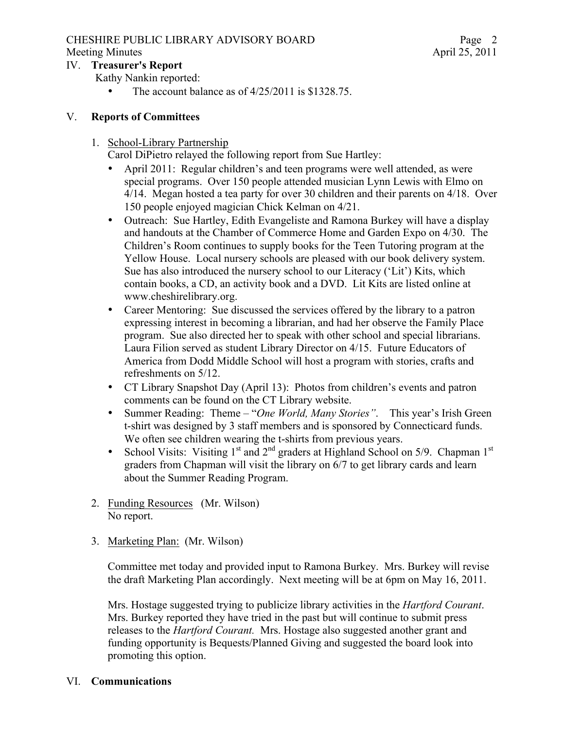# CHESHIRE PUBLIC LIBRARY ADVISORY BOARD

## IV. **Treasurer's Report**

Kathy Nankin reported:

The account balance as of  $4/25/2011$  is \$1328.75.

## V. **Reports of Committees**

# 1. School-Library Partnership

Carol DiPietro relayed the following report from Sue Hartley:

- April 2011: Regular children's and teen programs were well attended, as were special programs. Over 150 people attended musician Lynn Lewis with Elmo on 4/14. Megan hosted a tea party for over 30 children and their parents on 4/18. Over 150 people enjoyed magician Chick Kelman on 4/21.
- Outreach: Sue Hartley, Edith Evangeliste and Ramona Burkey will have a display and handouts at the Chamber of Commerce Home and Garden Expo on 4/30. The Children's Room continues to supply books for the Teen Tutoring program at the Yellow House. Local nursery schools are pleased with our book delivery system. Sue has also introduced the nursery school to our Literacy ('Lit') Kits, which contain books, a CD, an activity book and a DVD. Lit Kits are listed online at www.cheshirelibrary.org.
- Career Mentoring: Sue discussed the services offered by the library to a patron expressing interest in becoming a librarian, and had her observe the Family Place program. Sue also directed her to speak with other school and special librarians. Laura Filion served as student Library Director on 4/15. Future Educators of America from Dodd Middle School will host a program with stories, crafts and refreshments on 5/12.
- CT Library Snapshot Day (April 13): Photos from children's events and patron comments can be found on the CT Library website.
- Summer Reading: Theme "*One World, Many Stories"*. This year's Irish Green t-shirt was designed by 3 staff members and is sponsored by Connecticard funds. We often see children wearing the t-shirts from previous years.
- School Visits: Visiting  $1<sup>st</sup>$  and  $2<sup>nd</sup>$  graders at Highland School on 5/9. Chapman  $1<sup>st</sup>$ graders from Chapman will visit the library on 6/7 to get library cards and learn about the Summer Reading Program.
- 2. Funding Resources (Mr. Wilson) No report.
- 3. Marketing Plan: (Mr. Wilson)

Committee met today and provided input to Ramona Burkey. Mrs. Burkey will revise the draft Marketing Plan accordingly. Next meeting will be at 6pm on May 16, 2011.

Mrs. Hostage suggested trying to publicize library activities in the *Hartford Courant*. Mrs. Burkey reported they have tried in the past but will continue to submit press releases to the *Hartford Courant.* Mrs. Hostage also suggested another grant and funding opportunity is Bequests/Planned Giving and suggested the board look into promoting this option.

# VI. **Communications**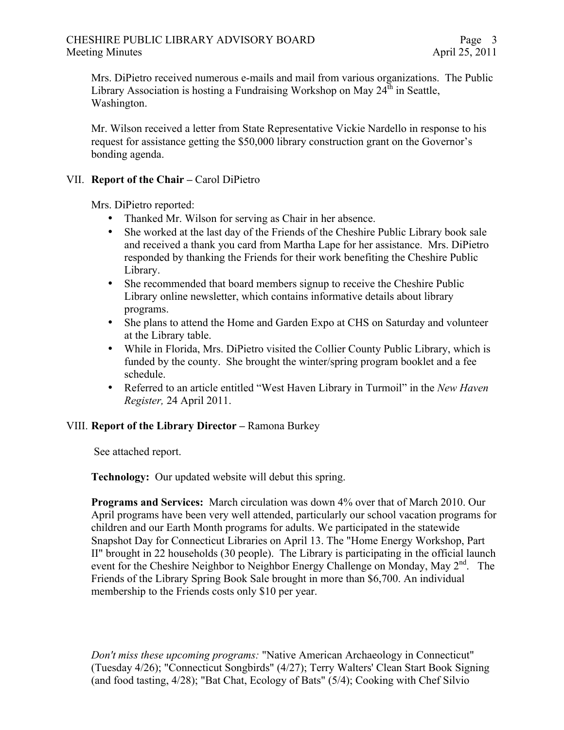Mrs. DiPietro received numerous e-mails and mail from various organizations. The Public Library Association is hosting a Fundraising Workshop on May  $24^{\text{th}}$  in Seattle, Washington.

Mr. Wilson received a letter from State Representative Vickie Nardello in response to his request for assistance getting the \$50,000 library construction grant on the Governor's bonding agenda.

## VII. **Report of the Chair –** Carol DiPietro

Mrs. DiPietro reported:

- Thanked Mr. Wilson for serving as Chair in her absence.
- She worked at the last day of the Friends of the Cheshire Public Library book sale and received a thank you card from Martha Lape for her assistance. Mrs. DiPietro responded by thanking the Friends for their work benefiting the Cheshire Public Library.
- She recommended that board members signup to receive the Cheshire Public Library online newsletter, which contains informative details about library programs.
- She plans to attend the Home and Garden Expo at CHS on Saturday and volunteer at the Library table.
- While in Florida, Mrs. Dipietro visited the Collier County Public Library, which is funded by the county. She brought the winter/spring program booklet and a fee schedule.
- Referred to an article entitled "West Haven Library in Turmoil" in the *New Haven Register,* 24 April 2011.

### VIII. **Report of the Library Director –** Ramona Burkey

See attached report.

**Technology:** Our updated website will debut this spring.

**Programs and Services:** March circulation was down 4% over that of March 2010. Our April programs have been very well attended, particularly our school vacation programs for children and our Earth Month programs for adults. We participated in the statewide Snapshot Day for Connecticut Libraries on April 13. The "Home Energy Workshop, Part II" brought in 22 households (30 people). The Library is participating in the official launch event for the Cheshire Neighbor to Neighbor Energy Challenge on Monday, May  $2<sup>nd</sup>$ . The Friends of the Library Spring Book Sale brought in more than \$6,700. An individual membership to the Friends costs only \$10 per year.

*Don't miss these upcoming programs:* "Native American Archaeology in Connecticut" (Tuesday 4/26); "Connecticut Songbirds" (4/27); Terry Walters' Clean Start Book Signing (and food tasting, 4/28); "Bat Chat, Ecology of Bats" (5/4); Cooking with Chef Silvio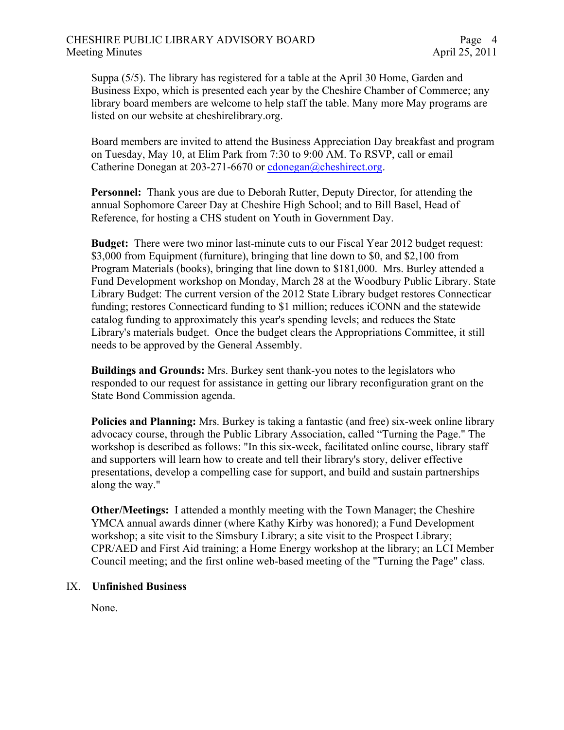Suppa (5/5). The library has registered for a table at the April 30 Home, Garden and Business Expo, which is presented each year by the Cheshire Chamber of Commerce; any library board members are welcome to help staff the table. Many more May programs are listed on our website at cheshirelibrary.org.

Board members are invited to attend the Business Appreciation Day breakfast and program on Tuesday, May 10, at Elim Park from 7:30 to 9:00 AM. To RSVP, call or email Catherine Donegan at 203-271-6670 or cdonegan@cheshirect.org.

**Personnel:** Thank yous are due to Deborah Rutter, Deputy Director, for attending the annual Sophomore Career Day at Cheshire High School; and to Bill Basel, Head of Reference, for hosting a CHS student on Youth in Government Day.

**Budget:** There were two minor last-minute cuts to our Fiscal Year 2012 budget request: \$3,000 from Equipment (furniture), bringing that line down to \$0, and \$2,100 from Program Materials (books), bringing that line down to \$181,000. Mrs. Burley attended a Fund Development workshop on Monday, March 28 at the Woodbury Public Library. State Library Budget: The current version of the 2012 State Library budget restores Connecticar funding; restores Connecticard funding to \$1 million; reduces iCONN and the statewide catalog funding to approximately this year's spending levels; and reduces the State Library's materials budget. Once the budget clears the Appropriations Committee, it still needs to be approved by the General Assembly.

**Buildings and Grounds:** Mrs. Burkey sent thank-you notes to the legislators who responded to our request for assistance in getting our library reconfiguration grant on the State Bond Commission agenda.

**Policies and Planning:** Mrs. Burkey is taking a fantastic (and free) six-week online library advocacy course, through the Public Library Association, called "Turning the Page." The workshop is described as follows: "In this six-week, facilitated online course, library staff and supporters will learn how to create and tell their library's story, deliver effective presentations, develop a compelling case for support, and build and sustain partnerships along the way."

**Other/Meetings:** I attended a monthly meeting with the Town Manager; the Cheshire YMCA annual awards dinner (where Kathy Kirby was honored); a Fund Development workshop; a site visit to the Simsbury Library; a site visit to the Prospect Library; CPR/AED and First Aid training; a Home Energy workshop at the library; an LCI Member Council meeting; and the first online web-based meeting of the "Turning the Page" class.

### IX. **Unfinished Business**

None.